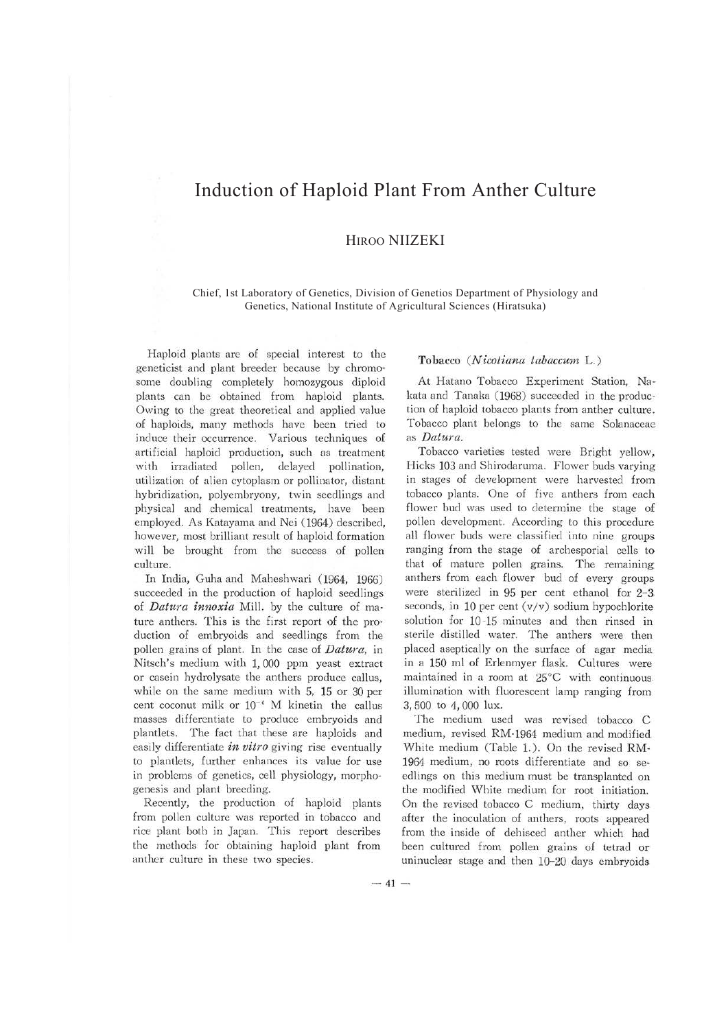# Induction of Haploid Plant From Anther Culture

## HIROO NIIZEKI

Chief, 1st Laboratory of Genetics, Division of Genetios Department of Physiology and Genetics, National Institute of Agricultural Sciences (Hiratsuka)

Haploid plants are of special interest to the geneticist and plant breeder because by chromosome doubling completely homozygous diploid plants can be obtained from haploid plants. Owing to the great theoretical and applied value of haploids, many methods have been tried to induce their occurrence. Various techniques of artificial haploid production, such as treatment with irradiated pollen, delayed pollination, utilization of alien cytoplasm or pollinator, distant hybridization, polyembryony, twin seedlings and physical and chemical treatments, have been employed. As Katayama and Nei (1964) described, however, most brilliant result of haploid formation will be brought from the success of pollen culture.

In India, Guha and Maheshwari (1964, 1966) succeeded in the production of haploid seedlings of *Datura innoxia* Mill. by the culture of mature anthers. This is the first report of the production of embryoids and seedlings from the pollen grains of plant. In the case of *Datura,* in Nitsch's medium with 1, 000 ppm yeast extract or casein hydrolysate the anthers produce callus, while on the same medium with 5, 15 or 30 per cent coconut milk or  $10^{-6}$  M kinetin the callus masses differentiate to produce embryoids and plantlets. The fact that these are haploids and easily differentiate *in vitro* giving rise eventually to plantlets, further enhances its value for use in problems of genetics, cell physiology, morphogenesis and plant breeding.

Recently, the production of haploid plants from pollen culture was reported in tobacco and rice plant both in Japan. This report describes the methods for obtaining haploid plant from anther culture in these two species.

#### **Tobacco** *(Nicotiana tabaccuni* L.)

At Hatano Tobacco Experiment Station, Nakata and Tanaka (1968) succeeded in the production of haploid tobacco plants from anther culture. Tobacco plant belongs to the same Solanaceae as *Datura.* 

Tobacco varieties tested were Bright yellow, Hicks 103 and Shirodaruma. Flower buds varying in stages of development were harvested from tobacco plants. One of five anthers from each flower bud was used to determine the stage of pollen development. According to this procedure all flower buds were classified into nine groups ranging from the stage of archesporial cells to that of mature pollen grains. The remaining anthers from each flower bud of every groups were sterilized in 95 per cent ethanol for 2-3. seconds, in 10 per cent  $(v/v)$  sodium hypochlorite solution for 10-15 minutes and then rinsed in sterile distilled water. The anthers were then placed aseptically on the surface of agar media in a 150 ml of Erlenmyer flask. Cultures were maintained in a room at 25°C with continuous. illumination with fluorescent lamp ranging from 3, 500 to 4, 000 lux.

The medium used was revised tobacco C medium, revised RM· 1964 medium and modified White medium (Table 1.). On the revised RM-1964 medium, no roots differentiate and so se· edlings on this medium must be transplanted on the modified White medium for root initiation. On the revised tobacco C medium, thirty days after the inoculation of anthers, roots appeared from the inside of dehisced anther which had been cultured from pollen grains of tetrad or uninuclear stage and then 10-20 days embryoids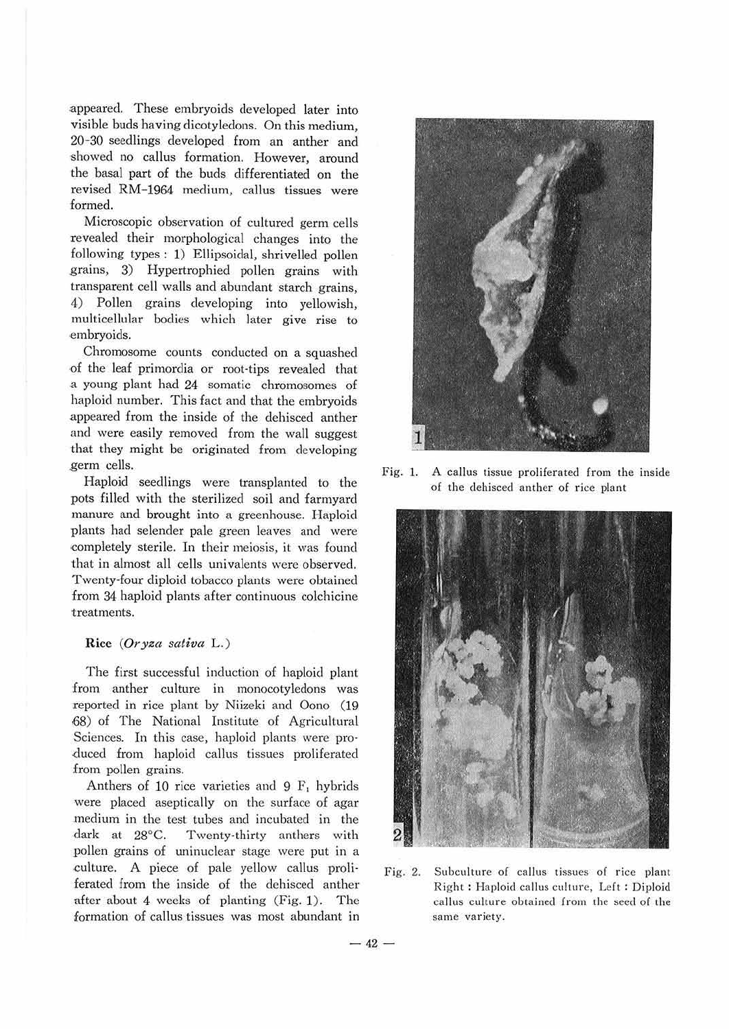appeared. These embryoids developed later into visible buds having dicotyledons. On this medium, 20-30 seedlings developed from an anther and showed no callus formation. However, around the basal part of the buds differentiated on the revised RM-1964 medium, callus tissues were formed.

Microscopic observation of cultured germ cells revealed their morphological changes into the following types: 1) Ellipsoidal, shrivelled pollen grains, 3) Hypertrophied pollen grains with transparent cell walls and abundant starch grains, 4) Pollen grains developing into yellowish, multicellular bodies which later give rise to embryoids.

Chromosome counts conducted on a squashed ,of the leaf primordia or root-tips revealed that .a young plant had 24 somatic chromosomes of haploid number. This fact and that the embryoids appeared from the inside of the dehisced anther and were easily removed from the wall suggest that they might be originated from developing germ cells.

Haploid seedlings were transplanted to the pots filled with the sterilized soil and farmyard manure and brought into a greenhouse. Haploid plants had selender pale green leaves and were completely sterile. In their meiosis, it was found that in almost all cells univalents were observed. Twenty-four diploid tobacco plants were obtained from 34 haploid plants after continuous colchicine treatments.

#### **Rice** *(Oryza sativa* L .)

The first successful induction of haploid plant from anther culture in monocotyledons was reported in rice plant by Niizeki and Oono (19 ,68) of The National Institute of Agricultural Sciences. In this case, haploid plants were pro· duced from haploid callus tissues proliferated from pollen grains.

Anthers of 10 rice varieties and 9 F, hybrids were placed aseptically on the surface of agar .medium in the test tubes and incubated in the dark at 28°C. Twenty-thirty anthers with pollen grains of uninuclear stage were put in a culture. A piece of pale yellow callus proliferated from the inside of the dehisced anther after about 4 weeks of planting (Fig. 1). The formation of callus tissues was most abundant in



Fig. 1. A callus tissue proliferated from the inside of the dehisced anther of rice plant



Fig. 2. Subculture of callus tissues of rice plant Right: Haploid callus culture, Left: Diploid callus culture obtained from the seed of the same variety.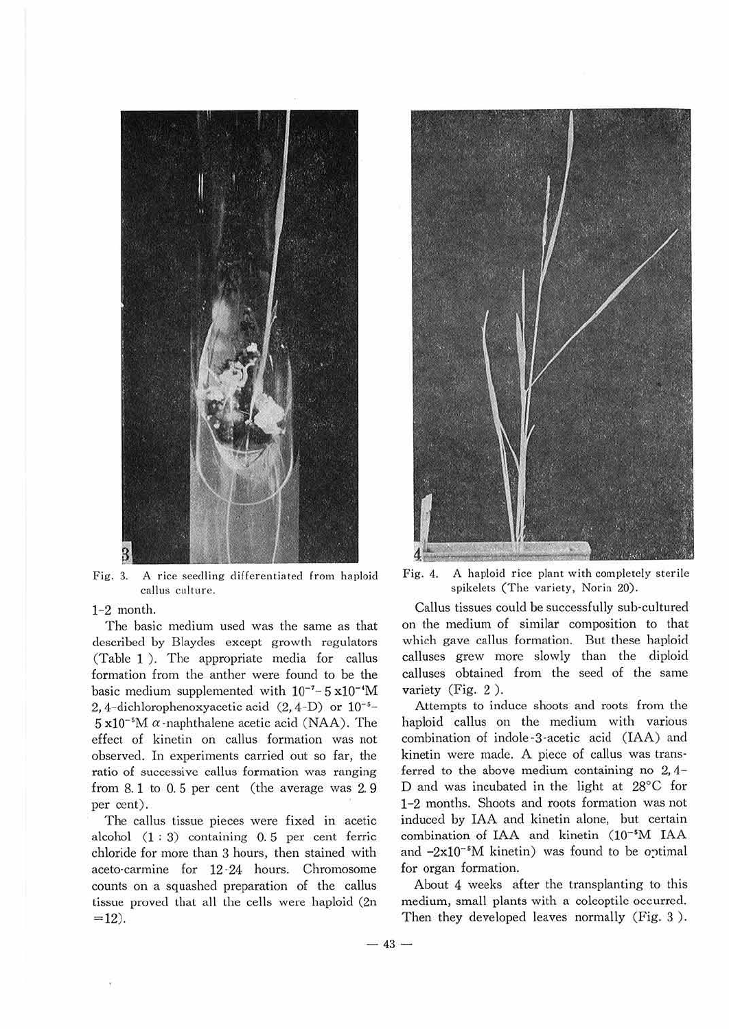

Fig. 3. A rice seedling differentiated from haploid callus culture.

#### 1-2 month.

The basic medium used was the same as that described by Blaydes except growth regulators (Table 1 ). The appropriate media for callus formation from the anther were found to be the basic medium supplemented with  $10^{-7}$ -5 x $10^{-4}$ M 2, 4-dichlorophenoxyacetic acid  $(2, 4-D)$  or  $10^{-5}$ - $5 \times 10^{-5}$ M  $\alpha$ -naphthalene acetic acid (NAA). The effect of kinetin on callus formation was not observed. In experiments carried out so far, the ratio of successive callus formation was ranging from 8.1 to 0. 5 per cent (the average was 2. 9 per cent).

The callus tissue pieces were fixed in acetic alcohol (1 : 3) containing 0. 5 per cent ferric chloride for more than 3 hours, then stained with aceto-carmine for 12 ·24 hours. Chromosome counts on a squashed preparation of the callus tissue proved that all the cells were haploid (2n  $= 12$ ).



Fig. 4. A haploid rice plant with completely sterile spikelets (The variety. Norin 20).

Callus tissues could be successfully sub-cultured on the medium of similar composition to that which gave callus formation. But these haploid calluses grew more slowly than the diploid calluses obtained from the seed of the same variety (Fig. 2 ).

Attempts to induce shoots and roots from the haploid callus on the medium with various combination of indole ·3·acetic acid (IAA) and kinetin were made. A piece of callus was trans· ferred to the above medium containing no  $2, 4$ -D and was incubated in the light at 28°C for 1-2 months. Shoots and roots formation was not induced by IAA and kinetin alone, but certain combination of IAA and kinetin (10-'M IAA and  $-2x10^{-5}M$  kinetin) was found to be optimal for organ formation.

About 4 weeks after the transplanting to this medium, small plants with a coleoptile occurred. Then they developed leaves normally (Fig. 3).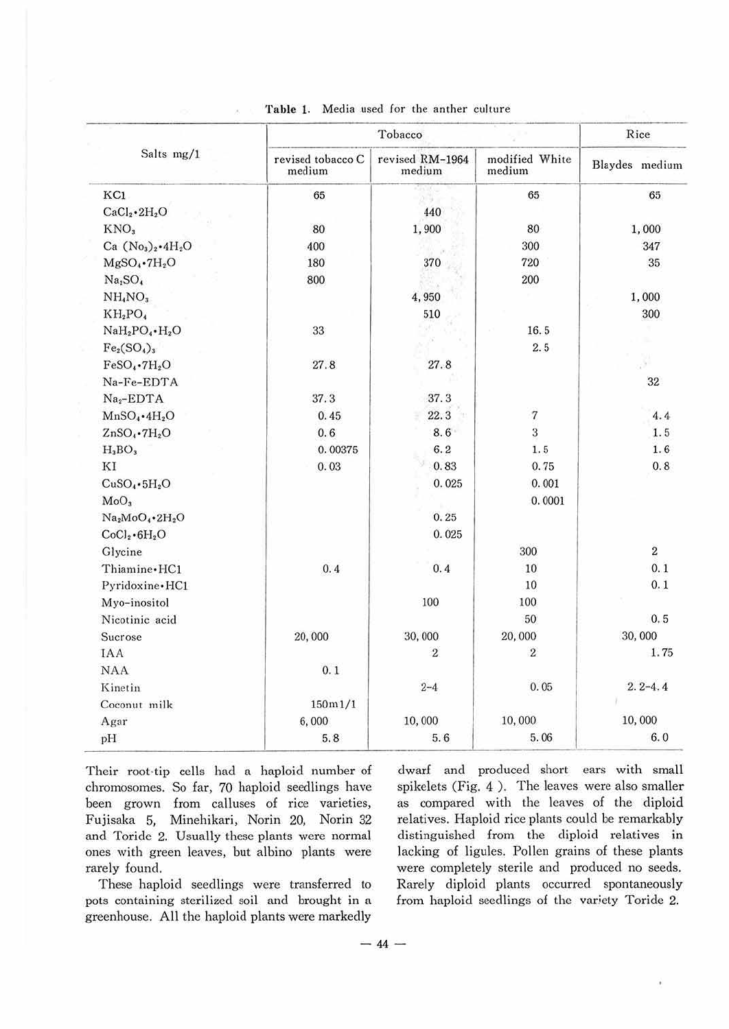| Salts mg/1                      | Tobacco                     |                           | Rice                     |                |
|---------------------------------|-----------------------------|---------------------------|--------------------------|----------------|
|                                 | revised tobacco C<br>medium | revised RM-1964<br>medium | modified White<br>medium | Blaydes medium |
| KC1                             | 65                          |                           | 65                       | 65             |
| $CaCl2 \cdot 2H2O$              |                             | 440                       |                          |                |
| KNO <sub>3</sub>                | 80                          | 1,900                     | 80                       | 1,000          |
| Ca $(No_3)_2 \cdot 4H_2O$       | 400                         |                           | 300                      | 347            |
| $MgSO_4$ - $7H_2O$              | 180                         | 370                       | 720                      | 35             |
| Na <sub>2</sub> SO <sub>4</sub> | 800                         |                           | 200                      |                |
| NH <sub>4</sub> NO <sub>3</sub> |                             | 4,950                     |                          | 1,000          |
| $KH_2PO_4$                      |                             | 510                       |                          | 300            |
| $NaH_2PO_4 \cdot H_2O$          | 33                          |                           | 16.5                     |                |
| $Fe2(SO4)3$                     |                             |                           | 2.5                      |                |
| $FeSO_4$ •7 $H_2O$              | 27.8                        | 27.8                      |                          |                |
| Na-Fe-EDTA                      |                             |                           |                          | 32             |
| $Na2-EDTA$                      | 37.3                        | 37.3                      |                          |                |
| $MnSO_4\cdot 4H_2O$             | 0.45                        | 22.3                      | $\sqrt{7}$               | 4.4            |
| $ZnSO_4$ . $7H_2O$              | 0.6                         | 8.6                       | 3                        | 1.5            |
| $H_3BO_3$                       | 0.00375                     | 6.2                       | 1.5                      | 1.6            |
| ΚI                              | 0.03                        | 0.83                      | 0.75                     | 0.8            |
| $CuSO_4 \cdot 5H_2O$            |                             | 0.025                     | 0.001                    |                |
| MoO <sub>3</sub>                |                             |                           | 0.0001                   |                |
| Na2MoO4.2H2O                    |                             | 0.25                      |                          |                |
| $CoCl2 \cdot 6H2O$              |                             | 0.025                     |                          |                |
| Glycine                         |                             |                           | 300                      | $\overline{2}$ |
| Thiamine · HC1                  | 0.4                         | 0.4                       | 10                       | 0.1            |
| Pyridoxine · HC1                |                             |                           | 10                       | 0.1            |
| Myo-inositol                    |                             | 100                       | 100                      |                |
| Nicotinic acid                  |                             |                           | 50                       | 0.5            |
| Sucrose                         | 20,000                      | 30,000                    | 20,000                   | 30,000         |
| <b>IAA</b>                      |                             | $\overline{2}$            | $\overline{2}$           | 1.75           |
| <b>NAA</b>                      | 0.1                         |                           |                          |                |
| Kinetin                         |                             | $2 - 4$                   | 0.05                     | $2.2 - 4.4$    |
| Coconut milk                    | 150m1/1                     |                           |                          |                |
| Agar                            | 6,000                       | 10,000                    | 10,000                   | 10,000         |
| pH                              | 5.8                         | 5.6                       | 5.06                     | 6.0            |

Table 1, Media used for the anther culture

Their root-tip cells had a haploid number of chromosomes. So far, 70 haploid seedlings have been grown from calluses of rice varieties, Fujisaka 5, Minehikari, Norin 20, Norin 32 and Toride 2. Usually these plants were normal ones with green leaves, but albino plants were rarely found.

These haploid seedlings were transferred to pots containing sterilized soil and brought in a greenhouse. All the haploid plants were markedly

dwarf and produced short ears with small spikelets (Fig. 4 ). The leaves were also smaller as compared with the leaves of the diploid relatives. Haploid rice plants could be remarkably distinguished from the diploid relatives in lacking of ligules. Pollen grains of these plants were completely sterile and produced no seeds. Rarely diploid plants occurred spontaneously from haploid seedlings of the variety Toride 2.